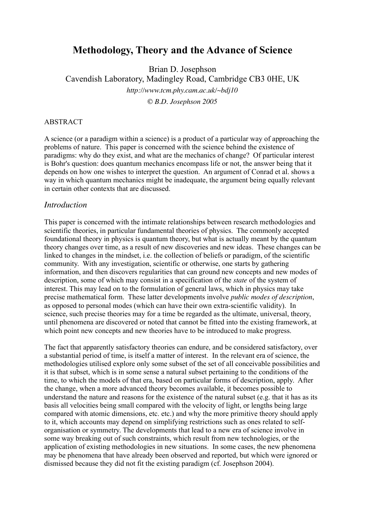# **Methodology, Theory and the Advance of Science**

Brian D. Josephson Cavendish Laboratory, Madingley Road, Cambridge CB3 0HE, UK *http://www.tcm.phy.cam.ac.uk/~bdj10*

*© B.D. Josephson 2005*

#### ABSTRACT

A science (or a paradigm within a science) is a product of a particular way of approaching the problems of nature. This paper is concerned with the science behind the existence of paradigms: why do they exist, and what are the mechanics of change? Of particular interest is Bohr's question: does quantum mechanics encompass life or not, the answer being that it depends on how one wishes to interpret the question. An argument of Conrad et al. shows a way in which quantum mechanics might be inadequate, the argument being equally relevant in certain other contexts that are discussed.

## *Introduction*

This paper is concerned with the intimate relationships between research methodologies and scientific theories, in particular fundamental theories of physics. The commonly accepted foundational theory in physics is quantum theory, but what is actually meant by the quantum theory changes over time, as a result of new discoveries and new ideas. These changes can be linked to changes in the mindset, i.e. the collection of beliefs or paradigm, of the scientific community. With any investigation, scientific or otherwise, one starts by gathering information, and then discovers regularities that can ground new concepts and new modes of description, some of which may consist in a specification of the *state* of the system of interest. This may lead on to the formulation of general laws, which in physics may take precise mathematical form. These latter developments involve *public modes of description*, as opposed to personal modes (which can have their own extra-scientific validity). In science, such precise theories may for a time be regarded as the ultimate, universal, theory, until phenomena are discovered or noted that cannot be fitted into the existing framework, at which point new concepts and new theories have to be introduced to make progress.

The fact that apparently satisfactory theories can endure, and be considered satisfactory, over a substantial period of time, is itself a matter of interest. In the relevant era of science, the methodologies utilised explore only some subset of the set of all conceivable possibilities and it is that subset, which is in some sense a natural subset pertaining to the conditions of the time, to which the models of that era, based on particular forms of description, apply. After the change, when a more advanced theory becomes available, it becomes possible to understand the nature and reasons for the existence of the natural subset (e.g. that it has as its basis all velocities being small compared with the velocity of light, or lengths being large compared with atomic dimensions, etc. etc.) and why the more primitive theory should apply to it, which accounts may depend on simplifying restrictions such as ones related to selforganisation or symmetry. The developments that lead to a new era of science involve in some way breaking out of such constraints, which result from new technologies, or the application of existing methodologies in new situations. In some cases, the new phenomena may be phenomena that have already been observed and reported, but which were ignored or dismissed because they did not fit the existing paradigm (cf. Josephson 2004).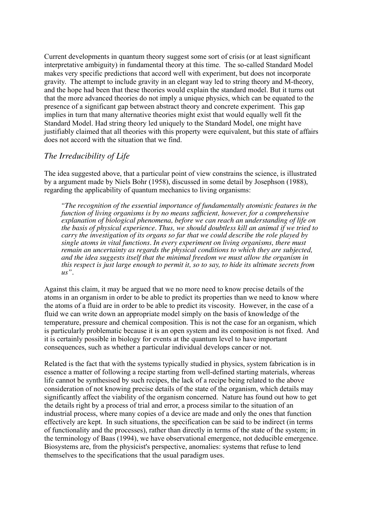Current developments in quantum theory suggest some sort of crisis (or at least significant interpretative ambiguity) in fundamental theory at this time. The so-called Standard Model makes very specific predictions that accord well with experiment, but does not incorporate gravity. The attempt to include gravity in an elegant way led to string theory and M-theory, and the hope had been that these theories would explain the standard model. But it turns out that the more advanced theories do not imply a unique physics, which can be equated to the presence of a significant gap between abstract theory and concrete experiment. This gap implies in turn that many alternative theories might exist that would equally well fit the Standard Model. Had string theory led uniquely to the Standard Model, one might have justifiably claimed that all theories with this property were equivalent, but this state of affairs does not accord with the situation that we find.

### *The Irreducibility of Life*

The idea suggested above, that a particular point of view constrains the science, is illustrated by a argument made by Niels Bohr (1958), discussed in some detail by Josephson (1988), regarding the applicability of quantum mechanics to living organisms:

*"The recognition of the essential importance of fundamentally atomistic features in the function of living organisms is by no means sufficient, however, for a comprehensive explanation of biological phenomena, before we can reach an understanding of life on the basis of physical experience. Thus, we should doubtless kill an animal if we tried to carry the investigation of its organs so far that we could describe the role played by single atoms in vital functions. In every experiment on living organisms, there must remain an uncertainty as regards the physical conditions to which they are subjected, and the idea suggests itself that the minimal freedom we must allow the organism in this respect is just large enough to permit it, so to say, to hide its ultimate secrets from us".*

Against this claim, it may be argued that we no more need to know precise details of the atoms in an organism in order to be able to predict its properties than we need to know where the atoms of a fluid are in order to be able to predict its viscosity. However, in the case of a fluid we can write down an appropriate model simply on the basis of knowledge of the temperature, pressure and chemical composition. This is not the case for an organism, which is particularly problematic because it is an open system and its composition is not fixed. And it is certainly possible in biology for events at the quantum level to have important consequences, such as whether a particular individual develops cancer or not.

Related is the fact that with the systems typically studied in physics, system fabrication is in essence a matter of following a recipe starting from well-defined starting materials, whereas life cannot be synthesised by such recipes, the lack of a recipe being related to the above consideration of not knowing precise details of the state of the organism, which details may significantly affect the viability of the organism concerned. Nature has found out how to get the details right by a process of trial and error, a process similar to the situation of an industrial process, where many copies of a device are made and only the ones that function effectively are kept. In such situations, the specification can be said to be indirect (in terms of functionality and the processes), rather than directly in terms of the state of the system; in the terminology of Baas (1994), we have observational emergence, not deducible emergence. Biosystems are, from the physicist's perspective, anomalies: systems that refuse to lend themselves to the specifications that the usual paradigm uses.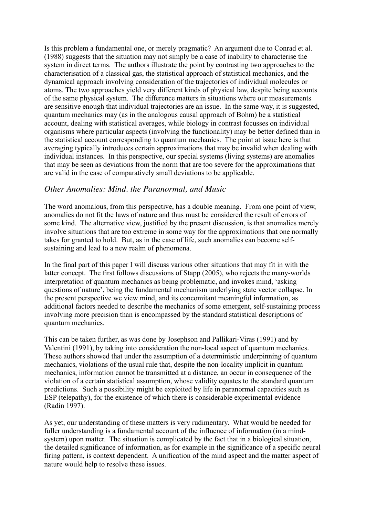Is this problem a fundamental one, or merely pragmatic? An argument due to Conrad et al. (1988) suggests that the situation may not simply be a case of inability to characterise the system in direct terms. The authors illustrate the point by contrasting two approaches to the characterisation of a classical gas, the statistical approach of statistical mechanics, and the dynamical approach involving consideration of the trajectories of individual molecules or atoms. The two approaches yield very different kinds of physical law, despite being accounts of the same physical system. The difference matters in situations where our measurements are sensitive enough that individual trajectories are an issue. In the same way, it is suggested, quantum mechanics may (as in the analogous causal approach of Bohm) be a statistical account, dealing with statistical averages, while biology in contrast focusses on individual organisms where particular aspects (involving the functionality) may be better defined than in the statistical account corresponding to quantum mechanics. The point at issue here is that averaging typically introduces certain approximations that may be invalid when dealing with individual instances. In this perspective, our special systems (living systems) are anomalies that may be seen as deviations from the norm that are too severe for the approximations that are valid in the case of comparatively small deviations to be applicable.

#### *Other Anomalies: Mind. the Paranormal, and Music*

The word anomalous, from this perspective, has a double meaning. From one point of view, anomalies do not fit the laws of nature and thus must be considered the result of errors of some kind. The alternative view, justified by the present discussion, is that anomalies merely involve situations that are too extreme in some way for the approximations that one normally takes for granted to hold. But, as in the case of life, such anomalies can become selfsustaining and lead to a new realm of phenomena.

In the final part of this paper I will discuss various other situations that may fit in with the latter concept. The first follows discussions of Stapp (2005), who rejects the many-worlds interpretation of quantum mechanics as being problematic, and invokes mind, 'asking questions of nature', being the fundamental mechanism underlying state vector collapse. In the present perspective we view mind, and its concomitant meaningful information, as additional factors needed to describe the mechanics of some emergent, self-sustaining process involving more precision than is encompassed by the standard statistical descriptions of quantum mechanics.

This can be taken further, as was done by Josephson and Pallikari-Viras (1991) and by Valentini (1991), by taking into consideration the non-local aspect of quantum mechanics. These authors showed that under the assumption of a deterministic underpinning of quantum mechanics, violations of the usual rule that, despite the non-locality implicit in quantum mechanics, information cannot be transmitted at a distance, an occur in consequence of the violation of a certain statistical assumption, whose validity equates to the standard quantum predictions. Such a possibility might be exploited by life in paranormal capacities such as ESP (telepathy), for the existence of which there is considerable experimental evidence (Radin 1997).

As yet, our understanding of these matters is very rudimentary. What would be needed for fuller understanding is a fundamental account of the influence of information (in a mindsystem) upon matter. The situation is complicated by the fact that in a biological situation, the detailed significance of information, as for example in the significance of a specific neural firing pattern, is context dependent. A unification of the mind aspect and the matter aspect of nature would help to resolve these issues.